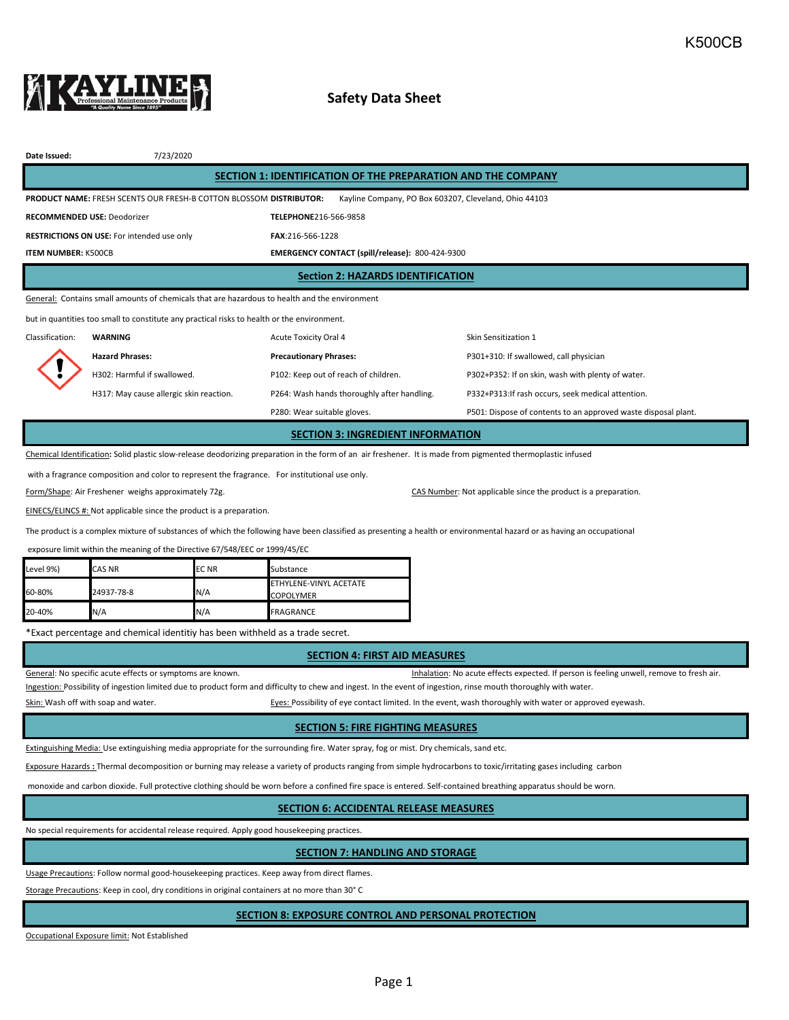

# **Safety Data Sheet**

| Date Issued:                                                                                                                                                 | 7/23/2020                                         |                                                 |                                                                |  |  |  |  |  |
|--------------------------------------------------------------------------------------------------------------------------------------------------------------|---------------------------------------------------|-------------------------------------------------|----------------------------------------------------------------|--|--|--|--|--|
| SECTION 1: IDENTIFICATION OF THE PREPARATION AND THE COMPANY                                                                                                 |                                                   |                                                 |                                                                |  |  |  |  |  |
| PRODUCT NAME: FRESH SCENTS OUR FRESH-B COTTON BLOSSOM DISTRIBUTOR:<br>Kayline Company, PO Box 603207, Cleveland, Ohio 44103                                  |                                                   |                                                 |                                                                |  |  |  |  |  |
| <b>RECOMMENDED USE: Deodorizer</b>                                                                                                                           |                                                   | TELEPHONE216-566-9858                           |                                                                |  |  |  |  |  |
|                                                                                                                                                              | <b>RESTRICTIONS ON USE:</b> For intended use only | FAX:216-566-1228                                |                                                                |  |  |  |  |  |
| <b>ITEM NUMBER: K500CB</b>                                                                                                                                   |                                                   | EMERGENCY CONTACT (spill/release): 800-424-9300 |                                                                |  |  |  |  |  |
| <b>Section 2: HAZARDS IDENTIFICATION</b>                                                                                                                     |                                                   |                                                 |                                                                |  |  |  |  |  |
| General: Contains small amounts of chemicals that are hazardous to health and the environment                                                                |                                                   |                                                 |                                                                |  |  |  |  |  |
| but in quantities too small to constitute any practical risks to health or the environment.                                                                  |                                                   |                                                 |                                                                |  |  |  |  |  |
| Classification:                                                                                                                                              | <b>WARNING</b>                                    | <b>Acute Toxicity Oral 4</b>                    | Skin Sensitization 1                                           |  |  |  |  |  |
|                                                                                                                                                              | <b>Hazard Phrases:</b>                            | <b>Precautionary Phrases:</b>                   | P301+310: If swallowed, call physician                         |  |  |  |  |  |
|                                                                                                                                                              | H302: Harmful if swallowed.                       | P102: Keep out of reach of children.            | P302+P352: If on skin, wash with plenty of water.              |  |  |  |  |  |
|                                                                                                                                                              | H317: May cause allergic skin reaction.           | P264: Wash hands thoroughly after handling.     | P332+P313: If rash occurs, seek medical attention.             |  |  |  |  |  |
|                                                                                                                                                              |                                                   | P280: Wear suitable gloves.                     | P501: Dispose of contents to an approved waste disposal plant. |  |  |  |  |  |
| <b>SECTION 3: INGREDIENT INFORMATION</b>                                                                                                                     |                                                   |                                                 |                                                                |  |  |  |  |  |
| Chemical Identification: Solid plastic slow-release deodorizing preparation in the form of an air freshener. It is made from pigmented thermoplastic infused |                                                   |                                                 |                                                                |  |  |  |  |  |

with a fragrance composition and color to represent the fragrance. For institutional use only.

Form/Shape: Air Freshener weighs approximately 72g. CAS Number: Not applicable since the product is a preparation.

EINECS/ELINCS #: Not applicable since the product is a preparation.

The product is a complex mixture of substances of which the following have been classified as presenting a health or environmental hazard or as having an occupational

exposure limit within the meaning of the Directive 67/548/EEC or 1999/45/EC

| Level 9%) | <b>CAS NR</b> | <b>ECNR</b> | Substance                                  |
|-----------|---------------|-------------|--------------------------------------------|
| 60-80%    | 24937-78-8    | N/A         | ETHYLENE-VINYL ACETATE<br><b>COPOLYMER</b> |
| 20-40%    | N/A           | N/A         | <b>FRAGRANCE</b>                           |

\*Exact percentage and chemical identitiy has been withheld as a trade secret.

### **SECTION 4: FIRST AID MEASURES**

General: No specific acute effects or symptoms are known. That is a series of the state of the state of resh air.

Ingestion: Possibility of ingestion limited due to product form and difficulty to chew and ingest. In the event of ingestion, rinse mouth thoroughly with water.

Skin: Wash off with soap and water. The state of a state of eyes: Possibility of eye contact limited. In the event, wash thoroughly with water or approved eyewash.

### **SECTION 5: FIRE FIGHTING MEASURES**

Extinguishing Media: Use extinguishing media appropriate for the surrounding fire. Water spray, fog or mist. Dry chemicals, sand etc.

Exposure Hazards **:** Thermal decomposition or burning may release a variety of products ranging from simple hydrocarbons to toxic/irritating gases including carbon

monoxide and carbon dioxide. Full protective clothing should be worn before a confined fire space is entered. Self-contained breathing apparatus should be worn.

## **SECTION 6: ACCIDENTAL RELEASE MEASURES**

No special requirements for accidental release required. Apply good housekeeping practices.

## **SECTION 7: HANDLING AND STORAGE**

Usage Precautions: Follow normal good-housekeeping practices. Keep away from direct flames.

Storage Precautions: Keep in cool, dry conditions in original containers at no more than 30° C

### **SECTION 8: EXPOSURE CONTROL AND PERSONAL PROTECTION**

Occupational Exposure limit: Not Established